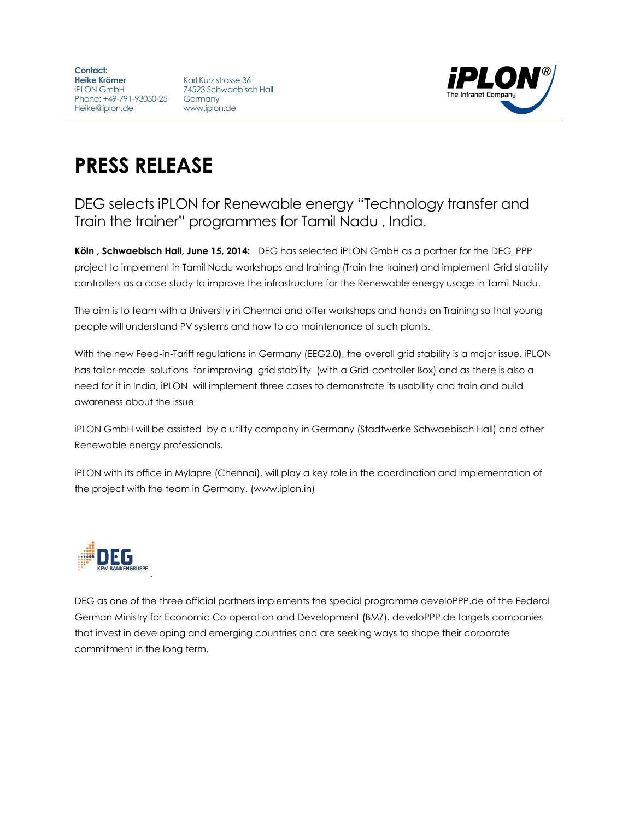**Contact: Heike Krömer** iPLON GmbH Phone: +49-791-93050-25 Germany Heike@iplon.de

Karl Kurz strasse 36 74523 Schwaebisch Hall www.iplon.de



## **PRESS RELEASE**

## DEG selects iPLON for Renewable energy "Technology transfer and Train the trainer" programmes for Tamil Nadu , India.

**Köln , Schwaebisch Hall, June 15, 2014:** DEG has selected iPLON GmbH as a partner for the DEG\_PPP project to implement in Tamil Nadu workshops and training (Train the trainer) and implement Grid stability controllers as a case study to improve the infrastructure for the Renewable energy usage in Tamil Nadu.

The aim is to team with a University in Chennai and offer workshops and hands on Training so that young people will understand PV systems and how to do maintenance of such plants.

With the new Feed-in-Tariff regulations in Germany (EEG2.0), the overall grid stability is a major issue. iPLON has tailor-made solutions for improving grid stability (with a Grid-controller Box) and as there is also a need for it in India, iPLON will implement three cases to demonstrate its usability and train and build awareness about the issue

iPLON GmbH will be assisted by a utility company in Germany (Stadtwerke Schwaebisch Hall) and other Renewable energy professionals.

iPLON with its office in Mylapre (Chennai), will play a key role in the coordination and implementation of the project with the team in Germany. (www.iplon.in)



DEG as one of the three official partners implements the special programme develoPPP.de of the Federal German Ministry for Economic Co-operation and Development (BMZ). develoPPP.de targets companies that invest in developing and emerging countries and are seeking ways to shape their corporate commitment in the long term.